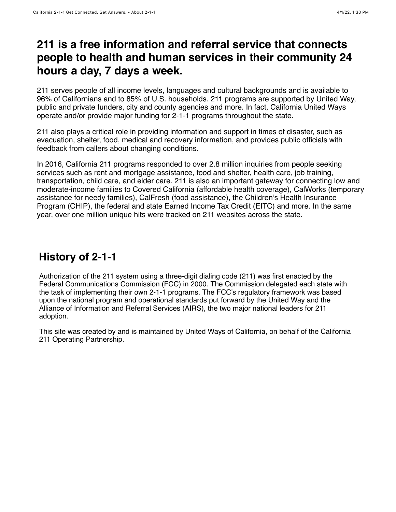## **211 is a free information and referral service that connects people to health and human services in their community 24 hours a day, 7 days a week.**

211 serves people of all income levels, languages and cultural backgrounds and is available to 96% of Californians and to 85% of U.S. households. 211 programs are supported by United Way, public and private funders, city and county agencies and more. In fact, California United Ways operate and/or provide major funding for 2-1-1 programs throughout the state.

211 also plays a critical role in providing information and support in times of disaster, such as evacuation, shelter, food, medical and recovery information, and provides public officials with feedback from callers about changing conditions.

In 2016, California 211 programs responded to over 2.8 million inquiries from people seeking services such as rent and mortgage assistance, food and shelter, health care, job training, transportation, child care, and elder care. 211 is also an important gateway for connecting low and moderate-income families to Covered California (affordable health coverage), CalWorks (temporary assistance for needy families), CalFresh (food assistance), the Children's Health Insurance Program (CHIP), the federal and state Earned Income Tax Credit (EITC) and more. In the same year, over one million unique hits were tracked on 211 websites across the state.

California 2-1-1 Get Connected. Get Answers. - About 2-1-1 4/1/22, 1:30 PM

## **History of 2-1-1**

Authorization of the 211 system using a three-digit dialing code (211) was first enacted by the Federal Communications Commission (FCC) in 2000. The Commission delegated each state with the task of implementing their own 2-1-1 programs. The FCC's regulatory framework was based upon the national program and operational standards put forward by the United Way and the Alliance of Information and Referral Services (AIRS), the two major national leaders for 211 adoption.

This site was created by and is maintained by United Ways of California, on behalf of the California 211 Operating Partnership.